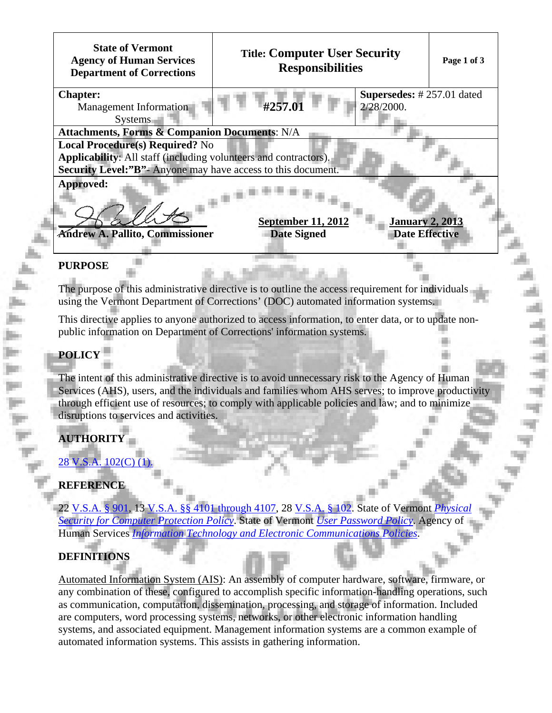| <b>State of Vermont</b><br><b>Agency of Human Services</b><br><b>Department of Corrections</b> | <b>Title: Computer User Security</b><br><b>Responsibilities</b> | Page 1 of 3 |
|------------------------------------------------------------------------------------------------|-----------------------------------------------------------------|-------------|
| <b>Chapter:</b>                                                                                | Supersedes: #257.01 dated                                       |             |
| Management Information                                                                         | #257.01<br>2/28/2000.                                           |             |
| <b>Systems</b>                                                                                 |                                                                 |             |
| <b>Attachments, Forms &amp; Companion Documents: N/A</b>                                       |                                                                 |             |
| <b>Local Procedure(s) Required?</b> No                                                         |                                                                 |             |
| Applicability: All staff (including volunteers and contractors).                               |                                                                 |             |
| <b>Security Level:"B"-</b> Anyone may have access to this document.                            |                                                                 |             |
| Approved:<br><b>September 11, 2012</b><br><b>January 2, 2013</b>                               |                                                                 |             |
| <b>Andrew A. Pallito, Commissioner</b>                                                         | <b>Date Effective</b><br><b>Date Signed</b>                     |             |
|                                                                                                |                                                                 |             |
| DI IDDACE                                                                                      |                                                                 |             |

#### **PURPOSE**

The purpose of this administrative directive is to outline the access requirement for individuals using the Vermont Department of Corrections' (DOC) automated information systems.

This directive applies to anyone authorized to access information, to enter data, or to update nonpublic information on Department of Corrections' information systems.

## **POLICY**

The intent of this administrative directive is to avoid unnecessary risk to the Agency of Human Services (AHS), users, and the individuals and families whom AHS serves; to improve productivity through efficient use of resources; to comply with applicable policies and law; and to minimize disruptions to services and activities.

# **AUTHORITY**

[28 V.S.A. 102\(C\) \(1\).](http://www.leg.state.vt.us/statutes/fullsection.cfm?Title=28&Chapter=003&Section=00102)

# **REFERENCE**

22 [V.S.A. § 901,](http://www.leg.state.vt.us/statutes/fullchapter.cfm?Title=22&Chapter=015) 13 [V.S.A. §§ 4101 through 4107](http://www.leg.state.vt.us/statutes/sections.cfm?Title=13&Chapter=087), 28 [V.S.A. § 102](http://www.leg.state.vt.us/statutes/fullsection.cfm?Title=28&Chapter=003&Section=00102). State of Vermont *[Physical](http://dii.vermont.gov/sites/dii/files/pdfs/Physical-Security-for-Computer-Protection.pdf) [Security for Computer Protection Policy](http://dii.vermont.gov/sites/dii/files/pdfs/Physical-Security-for-Computer-Protection.pdf)*. State of Vermont *[User Password Policy](http://dii.vermont.gov/sites/dii/files/pdfs/User-Password-Policy.pdf)*. Agency of Human Services *[Information Technology and Electronic Communications Policies](http://humanservices.vermont.gov/policy-legislation/policies/05-information-technology-and-electronic-communications-policies/)*.

#### **DEFINITIONS**

Automated Information System (AIS): An assembly of [computer hardware,](http://en.wikipedia.org/wiki/Computer_hardware) [software](http://en.wikipedia.org/wiki/Software), [firmware](http://en.wikipedia.org/wiki/Firmware), or any combination of these, configured to accomplish specific [information-](http://en.wikipedia.org/wiki/Information)handling operations, such as communication, computation, dissemination, processing, and storage of information. Included are computers, [word processing](http://en.wikipedia.org/wiki/Word_processing) systems, networks, or other electronic information handling systems, and associated equipment. [Management information systems](http://en.wikipedia.org/wiki/Management_information_systems) are a common example of automated information systems. This assists in gathering information.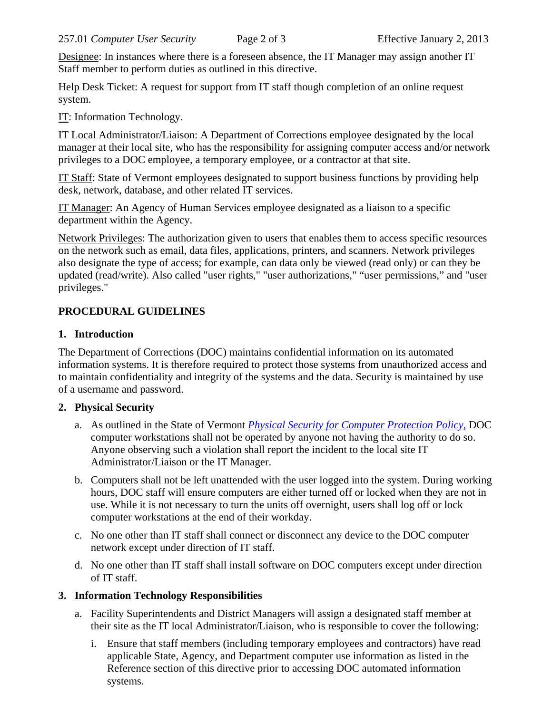Designee: In instances where there is a foreseen absence, the IT Manager may assign another IT Staff member to perform duties as outlined in this directive.

Help Desk Ticket: A request for support from IT staff though completion of an online request system.

IT: Information Technology.

IT Local Administrator/Liaison: A Department of Corrections employee designated by the local manager at their local site, who has the responsibility for assigning computer access and/or network privileges to a DOC employee, a temporary employee, or a contractor at that site.

IT Staff: State of Vermont employees designated to support business functions by providing help desk, network, database, and other related IT services.

IT Manager: An Agency of Human Services employee designated as a liaison to a specific department within the Agency.

Network Privileges: The authorization given to users that enables them to access specific resources on the network such as email, data files, applications, printers, and scanners. Network privileges also designate the type of access; for example, can data only be viewed (read only) or can they be updated (read/write). Also called "user rights," "user authorizations," "user permissions," and "user privileges."

# **PROCEDURAL GUIDELINES**

## **1. Introduction**

The Department of Corrections (DOC) maintains confidential information on its automated information systems. It is therefore required to protect those systems from unauthorized access and to maintain confidentiality and integrity of the systems and the data. Security is maintained by use of a username and password.

# **2. Physical Security**

- a. As outlined in the State of Vermont *[Physical Security for Computer Protection Policy](http://dii.vermont.gov/sites/dii/files/pdfs/Physical-Security-for-Computer-Protection.pdf)*, DOC computer workstations shall not be operated by anyone not having the authority to do so. Anyone observing such a violation shall report the incident to the local site IT Administrator/Liaison or the IT Manager.
- b. Computers shall not be left unattended with the user logged into the system. During working hours, DOC staff will ensure computers are either turned off or locked when they are not in use. While it is not necessary to turn the units off overnight, users shall log off or lock computer workstations at the end of their workday.
- c. No one other than IT staff shall connect or disconnect any device to the DOC computer network except under direction of IT staff.
- d. No one other than IT staff shall install software on DOC computers except under direction of IT staff.

#### **3. Information Technology Responsibilities**

- a. Facility Superintendents and District Managers will assign a designated staff member at their site as the IT local Administrator/Liaison, who is responsible to cover the following:
	- i. Ensure that staff members (including temporary employees and contractors) have read applicable State, Agency, and Department computer use information as listed in the Reference section of this directive prior to accessing DOC automated information systems.